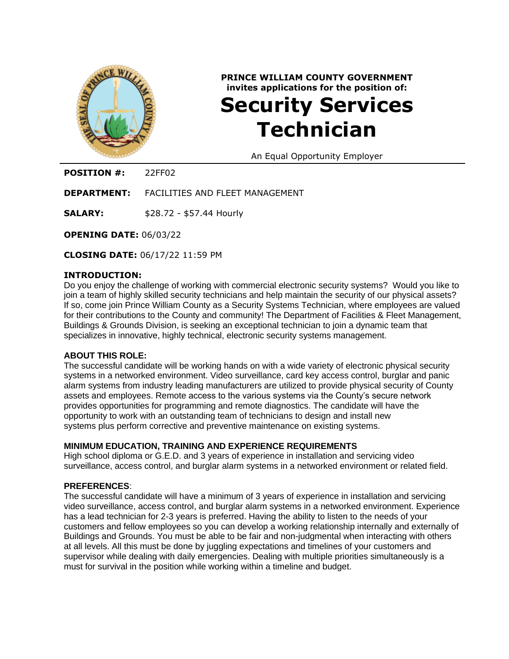

# **PRINCE WILLIAM COUNTY GOVERNMENT invites applications for the position of: Security Services Technician**

An Equal Opportunity Employer

**POSITION #:** 22FF02

**DEPARTMENT:** FACILITIES AND FLEET MANAGEMENT

**SALARY:** \$28.72 - \$57.44 Hourly

**OPENING DATE:** 06/03/22

**CLOSING DATE:** 06/17/22 11:59 PM

#### **INTRODUCTION:**

Do you enjoy the challenge of working with commercial electronic security systems? Would you like to join a team of highly skilled security technicians and help maintain the security of our physical assets? If so, come join Prince William County as a Security Systems Technician, where employees are valued for their contributions to the County and community! The Department of Facilities & Fleet Management, Buildings & Grounds Division, is seeking an exceptional technician to join a dynamic team that specializes in innovative, highly technical, electronic security systems management.

#### **ABOUT THIS ROLE:**

The successful candidate will be working hands on with a wide variety of electronic physical security systems in a networked environment. Video surveillance, card key access control, burglar and panic alarm systems from industry leading manufacturers are utilized to provide physical security of County assets and employees. Remote access to the various systems via the County's secure network provides opportunities for programming and remote diagnostics. The candidate will have the opportunity to work with an outstanding team of technicians to design and install new systems plus perform corrective and preventive maintenance on existing systems.

## **MINIMUM EDUCATION, TRAINING AND EXPERIENCE REQUIREMENTS**

High school diploma or G.E.D. and 3 years of experience in installation and servicing video surveillance, access control, and burglar alarm systems in a networked environment or related field.

#### **PREFERENCES**:

The successful candidate will have a minimum of 3 years of experience in installation and servicing video surveillance, access control, and burglar alarm systems in a networked environment. Experience has a lead technician for 2-3 years is preferred. Having the ability to listen to the needs of your customers and fellow employees so you can develop a working relationship internally and externally of Buildings and Grounds. You must be able to be fair and non-judgmental when interacting with others at all levels. All this must be done by juggling expectations and timelines of your customers and supervisor while dealing with daily emergencies. Dealing with multiple priorities simultaneously is a must for survival in the position while working within a timeline and budget.